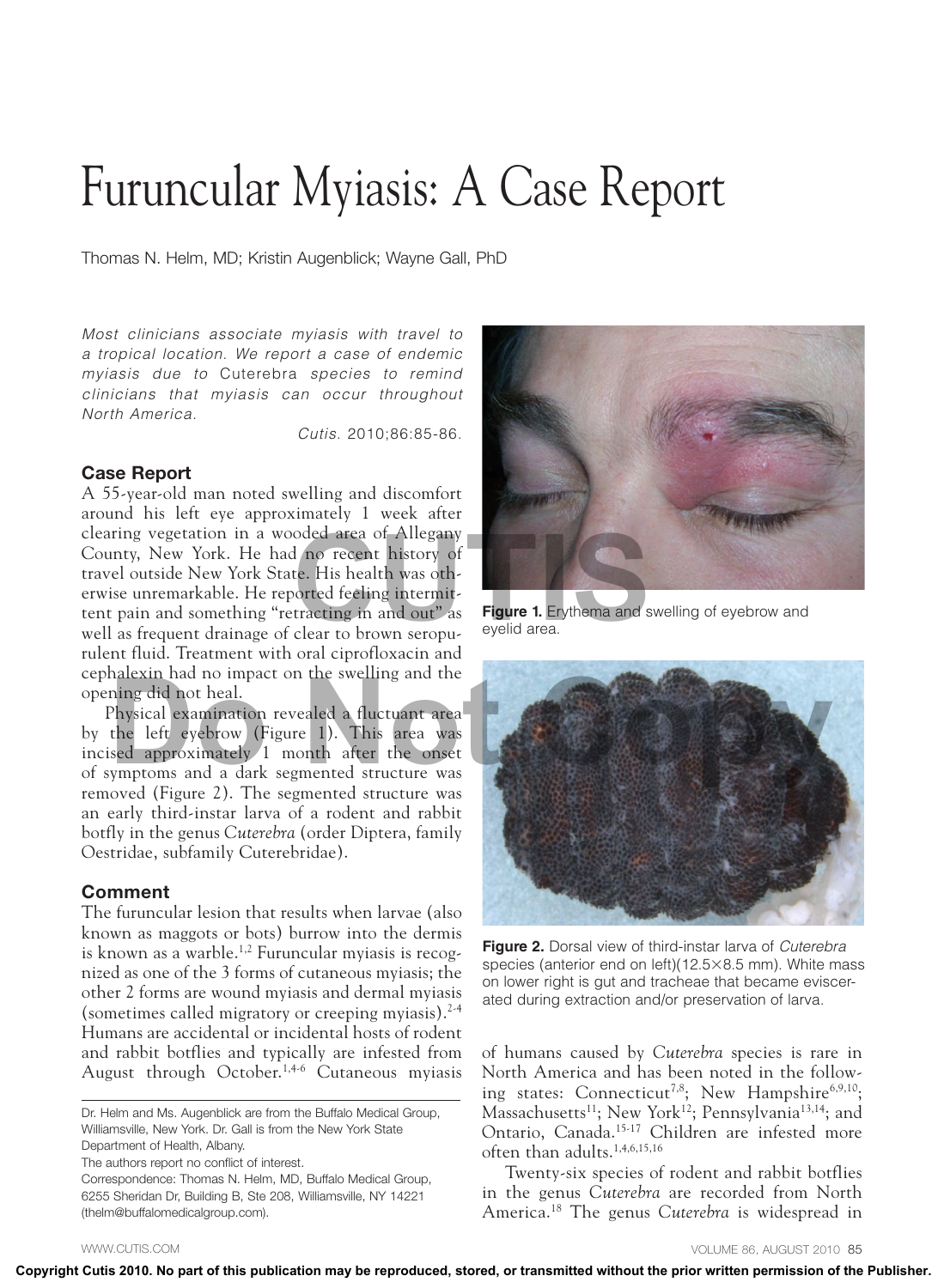## Furuncular Myiasis: A Case Report

Thomas N. Helm, MD; Kristin Augenblick; Wayne Gall, PhD

*Most clinicians associate myiasis with travel to a tropical location. We report a case of endemic myiasis due to* Cuterebra *species to remind clinicians that myiasis can occur throughout North America.*

*Cutis.* 2010;86:85-86.

## Case Report

A 55-year-old man noted swelling and discomfort around his left eye approximately 1 week after clearing vegetation in a wooded area of Allegany County, New York. He had no recent history of travel outside New York State. His health was otherwise unremarkable. He reported feeling intermittent pain and something "retracting in and out" as well as frequent drainage of clear to brown seropurulent fluid. Treatment with oral ciprofloxacin and cephalexin had no impact on the swelling and the opening did not heal.

Physical examination revealed a fluctuant area by the left eyebrow (Figure 1). This area was incised approximately 1 month after the onset of symptoms and a dark segmented structure was removed (Figure 2). The segmented structure was an early third-instar larva of a rodent and rabbit botfly in the genus *Cuterebra* (order Diptera, family Oestridae, subfamily Cuterebridae).

## Comment

The furuncular lesion that results when larvae (also known as maggots or bots) burrow into the dermis is known as a warble.<sup>1,2</sup> Furuncular myiasis is recognized as one of the 3 forms of cutaneous myiasis; the other 2 forms are wound myiasis and dermal myiasis (sometimes called migratory or creeping myiasis). $2-4$ Humans are accidental or incidental hosts of rodent and rabbit botflies and typically are infested from August through October.<sup>1,4-6</sup> Cutaneous myiasis

Dr. Helm and Ms. Augenblick are from the Buffalo Medical Group, Williamsville, New York. Dr. Gall is from the New York State Department of Health, Albany.

The authors report no conflict of interest.

Correspondence: Thomas N. Helm, MD, Buffalo Medical Group, 6255 Sheridan Dr, Building B, Ste 208, Williamsville, NY 14221 (thelm@buffalomedicalgroup.com).



**Figure 1.** Erythema and swelling of eyebrow and eyelid area.



**Figure 2.** Dorsal view of third-instar larva of *Cuterebra* species (anterior end on left)(12.5×8.5 mm). White mass on lower right is gut and tracheae that became eviscerated during extraction and/or preservation of larva.

of humans caused by *Cuterebra* species is rare in North America and has been noted in the following states: Connecticut<sup>7,8</sup>; New Hampshire<sup>6,9,10</sup>; Massachusetts<sup>11</sup>; New York<sup>12</sup>; Pennsylvania<sup>13,14</sup>; and Ontario, Canada.15-17 Children are infested more often than adults.1,4,6,15,16

Twenty-six species of rodent and rabbit botflies in the genus *Cuterebra* are recorded from North America.18 The genus *Cuterebra* is widespread in